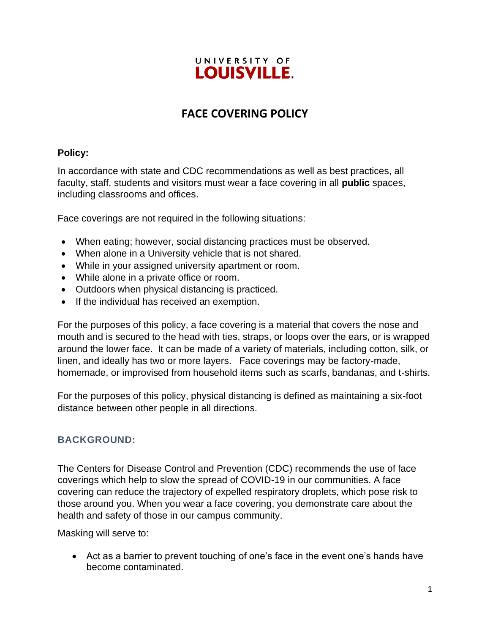## UNIVERSITY OF **LOUISVILLE.**

# **FACE COVERING POLICY**

### **Policy:**

In accordance with state and CDC recommendations as well as best practices, all faculty, staff, students and visitors must wear a face covering in all **public** spaces, including classrooms and offices.

Face coverings are not required in the following situations:

- When eating; however, social distancing practices must be observed.
- When alone in a University vehicle that is not shared.
- While in your assigned university apartment or room.
- While alone in a private office or room.
- Outdoors when physical distancing is practiced.
- If the individual has received an exemption.

For the purposes of this policy, a face covering is a material that covers the nose and mouth and is secured to the head with ties, straps, or loops over the ears, or is wrapped around the lower face. It can be made of a variety of materials, including cotton, silk, or linen, and ideally has two or more layers. Face coverings may be factory-made, homemade, or improvised from household items such as scarfs, bandanas, and t-shirts.

For the purposes of this policy, physical distancing is defined as maintaining a six-foot distance between other people in all directions.

## **BACKGROUND:**

The Centers for Disease Control and Prevention (CDC) recommends the use of face coverings which help to slow the spread of COVID-19 in our communities. A face covering can reduce the trajectory of expelled respiratory droplets, which pose risk to those around you. When you wear a face covering, you demonstrate care about the health and safety of those in our campus community.

Masking will serve to:

• Act as a barrier to prevent touching of one's face in the event one's hands have become contaminated.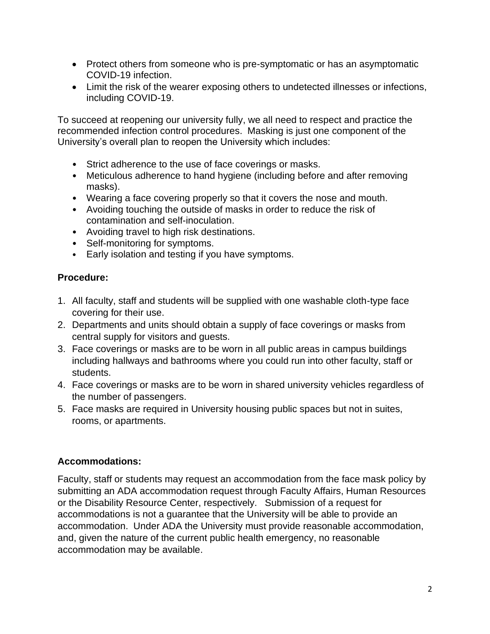- Protect others from someone who is pre-symptomatic or has an asymptomatic COVID-19 infection.
- Limit the risk of the wearer exposing others to undetected illnesses or infections, including COVID-19.

To succeed at reopening our university fully, we all need to respect and practice the recommended infection control procedures. Masking is just one component of the University's overall plan to reopen the University which includes:

- Strict adherence to the use of face coverings or masks.
- Meticulous adherence to hand hygiene (including before and after removing masks).
- Wearing a face covering properly so that it covers the nose and mouth.
- Avoiding touching the outside of masks in order to reduce the risk of contamination and self-inoculation.
- Avoiding travel to high risk destinations.
- Self-monitoring for symptoms.
- Early isolation and testing if you have symptoms.

#### **Procedure:**

- 1. All faculty, staff and students will be supplied with one washable cloth-type face covering for their use.
- 2. Departments and units should obtain a supply of face coverings or masks from central supply for visitors and guests.
- 3. Face coverings or masks are to be worn in all public areas in campus buildings including hallways and bathrooms where you could run into other faculty, staff or students.
- 4. Face coverings or masks are to be worn in shared university vehicles regardless of the number of passengers.
- 5. Face masks are required in University housing public spaces but not in suites, rooms, or apartments.

#### **Accommodations:**

Faculty, staff or students may request an accommodation from the face mask policy by submitting an ADA accommodation request through Faculty Affairs, Human Resources or the Disability Resource Center, respectively. Submission of a request for accommodations is not a guarantee that the University will be able to provide an accommodation. Under ADA the University must provide reasonable accommodation, and, given the nature of the current public health emergency, no reasonable accommodation may be available.